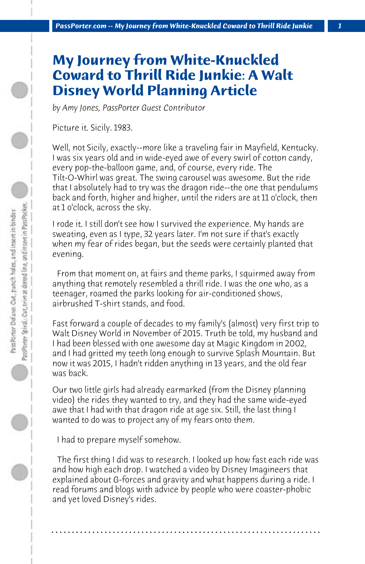## **My Journey from White-Knuckled Coward to Thrill Ride Junkie: A Walt Disney World Planning Article**

*by Amy Jones, PassPorter Guest Contributor*

Picture it. Sicily. 1983.

Well, not Sicily, exactly--more like a traveling fair in Mayfield, Kentucky. I was six years old and in wide-eyed awe of every swirl of cotton candy, every pop-the-balloon game, and, of course, every ride. The Tilt-O-Whirl was great. The swing carousel was awesome. But the ride that I absolutely had to try was the dragon ride--the one that pendulums back and forth, higher and higher, until the riders are at 11 o'clock, then at 1 o'clock, across the sky.

I rode it. I still don't see how I survived the experience. My hands are sweating, even as I type, 32 years later. I'm not sure if that's exactly when my fear of rides began, but the seeds were certainly planted that evening.

 From that moment on, at fairs and theme parks, I squirmed away from anything that remotely resembled a thrill ride. I was the one who, as a teenager, roamed the parks looking for air-conditioned shows, airbrushed T-shirt stands, and food.

Fast forward a couple of decades to my family's (almost) very first trip to Walt Disney World in November of 2015. Truth be told, my husband and I had been blessed with one awesome day at Magic Kingdom in 2002, and I had gritted my teeth long enough to survive Splash Mountain. But now it was 2015, I hadn't ridden anything in 13 years, and the old fear was back.

Our two little girls had already earmarked (from the Disney planning video) the rides they wanted to try, and they had the same wide-eyed awe that I had with that dragon ride at age six. Still, the last thing I wanted to do was to project any of my fears onto them.

 I had to prepare myself somehow.

 The first thing I did was to research. I looked up how fast each ride was and how high each drop. I watched a video by Disney Imagineers that explained about G-forces and gravity and what happens during a ride. I read forums and blogs with advice by people who were coaster-phobic and yet loved Disney's rides.

**. . . . . . . . . . . . . . . . . . . . . . . . . . . . . . . . . . . . . . . . . . . . . . . . . . . . . . . . . . . . . . . . . .**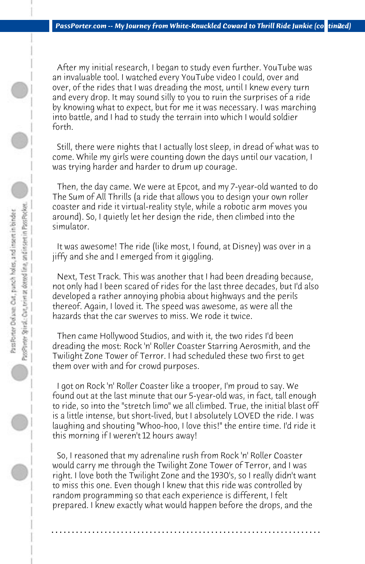After my initial research, I began to study even further. YouTube was an invaluable tool. I watched every YouTube video I could, over and over, of the rides that I was dreading the most, until I knew every turn and every drop. It may sound silly to you to ruin the surprises of a ride by knowing what to expect, but for me it was necessary. I was marching into battle, and I had to study the terrain into which I would soldier forth.

 Still, there were nights that I actually lost sleep, in dread of what was to come. While my girls were counting down the days until our vacation, I was trying harder and harder to drum up courage.

 Then, the day came. We were at Epcot, and my 7-year-old wanted to do The Sum of All Thrills (a ride that allows you to design your own roller coaster and ride it virtual-reality style, while a robotic arm moves you around). So, I quietly let her design the ride, then climbed into the simulator.

 It was awesome! The ride (like most, I found, at Disney) was over in a jiffy and she and I emerged from it giggling.

 Next, Test Track. This was another that I had been dreading because, not only had I been scared of rides for the last three decades, but I'd also developed a rather annoying phobia about highways and the perils thereof. Again, I loved it. The speed was awesome, as were all the hazards that the car swerves to miss. We rode it twice.

 Then came Hollywood Studios, and with it, the two rides I'd been dreading the most: Rock 'n' Roller Coaster Starring Aerosmith, and the Twilight Zone Tower of Terror. I had scheduled these two first to get them over with and for crowd purposes.

 I got on Rock 'n' Roller Coaster like a trooper, I'm proud to say. We found out at the last minute that our 5-year-old was, in fact, tall enough to ride, so into the "stretch limo" we all climbed. True, the initial blast off is a little intense, but short-lived, but I absolutely LOVED the ride. I was laughing and shouting "Whoo-hoo, I love this!" the entire time. I'd ride it this morning if I weren't 12 hours away!

 So, I reasoned that my adrenaline rush from Rock 'n' Roller Coaster would carry me through the Twilight Zone Tower of Terror, and I was right. I love both the Twilight Zone and the 1930's, so I really didn't want to miss this one. Even though I knew that this ride was controlled by random programming so that each experience is different, I felt prepared. I knew exactly what would happen before the drops, and the

**. . . . . . . . . . . . . . . . . . . . . . . . . . . . . . . . . . . . . . . . . . . . . . . . . . . . . . . . . . . . . . . . . .**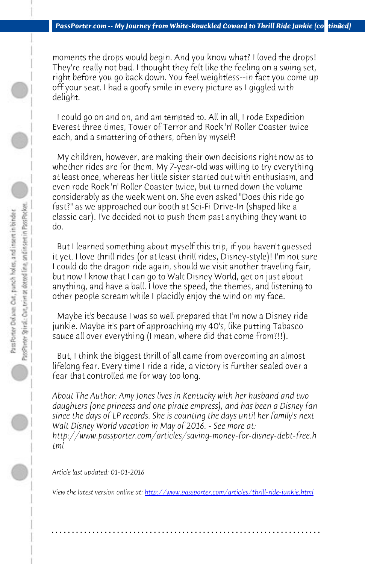*PassPorter.com -- My Journey from White-Knuckled Coward to Thrill Ride Junkie (continued)* 

moments the drops would begin. And you know what? I loved the drops! They're really not bad. I thought they felt like the feeling on a swing set, right before you go back down. You feel weightless--in fact you come up off your seat. I had a goofy smile in every picture as I giggled with delight.

 I could go on and on, and am tempted to. All in all, I rode Expedition Everest three times, Tower of Terror and Rock 'n' Roller Coaster twice each, and a smattering of others, often by myself!

 My children, however, are making their own decisions right now as to whether rides are for them. My 7-year-old was willing to try everything at least once, whereas her little sister started out with enthusiasm, and even rode Rock 'n' Roller Coaster twice, but turned down the volume considerably as the week went on. She even asked "Does this ride go fast?" as we approached our booth at Sci-Fi Drive-In (shaped like a classic car). I've decided not to push them past anything they want to do.

 But I learned something about myself this trip, if you haven't guessed it yet. I love thrill rides (or at least thrill rides, Disney-style)! I'm not sure I could do the dragon ride again, should we visit another traveling fair, but now I know that I can go to Walt Disney World, get on just about anything, and have a ball. I love the speed, the themes, and listening to other people scream while I placidly enjoy the wind on my face.

 Maybe it's because I was so well prepared that I'm now a Disney ride junkie. Maybe it's part of [approaching my 40's, like putting Tabasco](http://www.passporter.com/articles/thrill-ride-junkie.php) sauce all over everything (I mean, where did that come from?!!).

 But, I think the biggest thrill of all came from overcoming an almost lifelong fear. Every time I ride a ride, a victory is further sealed over a fear that controlled me for way too long.

*About The Author: Amy Jones lives in Kentucky with her husband and two daughters (one princess and one pirate empress), and has been a Disney fan since the days of LP records. She is counting the days until her family's next Walt Disney World vacation in May of 2016. - See more at: http://www.passporter.com/articles/saving-money-for-disney-debt-free.h tml*

*Article last updated: 01-01-2016*

*View the latest version online at: http://www.passporter.com/articles/thrill-ride-junkie.html*

**. . . . . . . . . . . . . . . . . . . . . . . . . . . . . . . . . . . . . . . . . . . . . . . . . . . . . . . . . . . . . . . . . .**